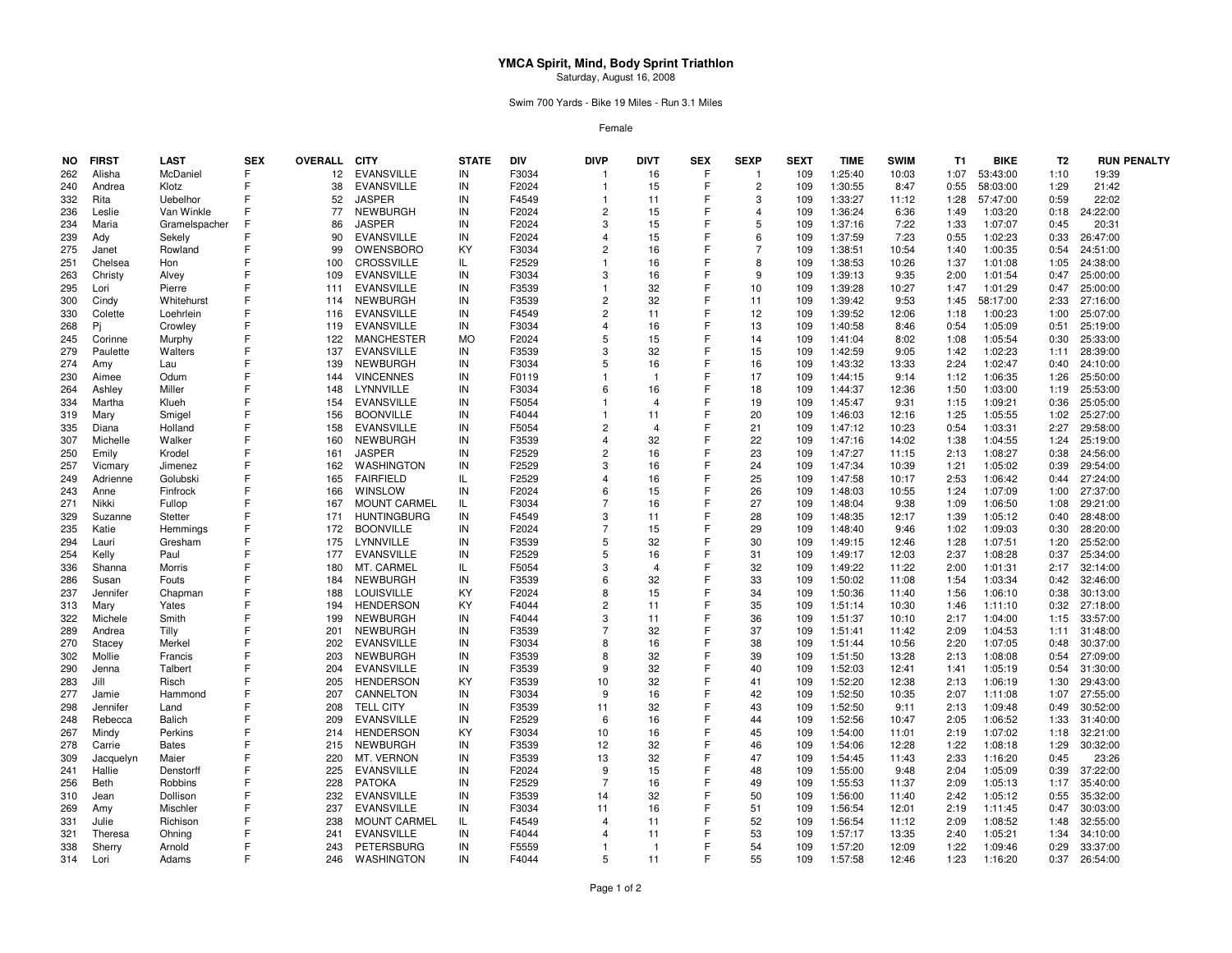## **YMCA Spirit, Mind, Body Sprint Triathlon**Saturday, August 16, 2008

Swim 700 Yards - Bike 19 Miles - Run 3.1 Miles

Female

| NO. | <b>FIRST</b> | <b>LAST</b>   | <b>SEX</b> | <b>OVERALL</b> | <b>CITY</b>         | <b>STATE</b> | <b>DIV</b> | <b>DIVP</b>    | <b>DIVT</b>    | <b>SEX</b> | <b>SEXP</b>    | <b>SEXT</b> | <b>TIME</b> | <b>SWIM</b> | T1   | <b>BIKE</b> | T <sub>2</sub> | <b>RUN PENALTY</b> |
|-----|--------------|---------------|------------|----------------|---------------------|--------------|------------|----------------|----------------|------------|----------------|-------------|-------------|-------------|------|-------------|----------------|--------------------|
| 262 | Alisha       | McDaniel      | F          | 12             | <b>EVANSVILLE</b>   | IN           | F3034      | -1             | 16             | F          | $\mathbf 1$    | 109         | 1:25:40     | 10:03       | 1:07 | 53:43:00    | 1:10           | 19:39              |
| 240 | Andrea       | Klotz         | F          | 38             | <b>EVANSVILLE</b>   | IN           | F2024      | -1             | 15             | F          | $\overline{2}$ | 109         | 1:30:55     | 8:47        | 0:55 | 58:03:00    | 1:29           | 21:42              |
| 332 | Rita         | Uebelhor      |            | 52             | <b>JASPER</b>       | IN           | F4549      | -1             | 11             |            | 3              | 109         | 1:33:27     | 11:12       | 1:28 | 57:47:00    | 0:59           | 22:02              |
| 236 | Leslie       | Van Winkle    |            | 77             | <b>NEWBURGH</b>     | IN           | F2024      | $\overline{2}$ | 15             |            | 4              | 109         | 1:36:24     | 6:36        | 1:49 | 1:03:20     | 0:18           | 24:22:00           |
| 234 | Maria        | Gramelspacher |            | 86             | <b>JASPER</b>       | IN           | F2024      | 3              | 15             | E          | 5              | 109         | 1:37:16     | 7:22        | 1:33 | 1:07:07     | 0:45           | 20:31              |
| 239 |              | Sekely        |            | 90             | <b>EVANSVILLE</b>   | IN           | F2024      | 4              | 15             |            | 6              | 109         | 1:37:59     | 7:23        | 0:55 | 1:02:23     | 0:33           | 26:47:00           |
|     | Ady          |               |            | 99             | OWENSBORO           | KY           |            | 2              |                | F          | $\overline{7}$ |             |             |             |      |             |                |                    |
| 275 | Janet        | Rowland       |            |                |                     |              | F3034      |                | 16             |            |                | 109         | 1:38:51     | 10:54       | 1:40 | 1:00:35     | 0:54           | 24:51:00           |
| 251 | Chelsea      | Hon           |            | 100            | <b>CROSSVILLE</b>   | IL           | F2529      |                | 16             |            | 8              | 109         | 1:38:53     | 10:26       | 1:37 | 1:01:08     | 1:05           | 24:38:00           |
| 263 | Christy      | Alvey         |            | 109            | <b>EVANSVILLE</b>   | IN           | F3034      | 3              | 16             |            | 9              | 109         | 1:39:13     | 9:35        | 2:00 | 1:01:54     | 0:47           | 25:00:00           |
| 295 | Lori         | Pierre        |            | 111            | <b>EVANSVILLE</b>   | IN           | F3539      |                | 32             |            | 10             | 109         | 1:39:28     | 10:27       | 1:47 | 1:01:29     | 0:47           | 25:00:00           |
| 300 | Cindy        | Whitehurst    |            | 114            | <b>NEWBURGH</b>     | IN           | F3539      | $\overline{2}$ | 32             |            | 11             | 109         | 1:39:42     | 9:53        | 1:45 | 58:17:00    | 2:33           | 27:16:00           |
| 330 | Colette      | Loehrlein     |            | 116            | <b>EVANSVILLE</b>   | IN           | F4549      | $\overline{2}$ | 11             |            | 12             | 109         | 1:39:52     | 12:06       | 1:18 | 1:00:23     | 1:00           | 25:07:00           |
| 268 | Pj           | Crowley       |            | 119            | <b>EVANSVILLE</b>   | IN           | F3034      | $\overline{4}$ | 16             |            | 13             | 109         | 1:40:58     | 8:46        | 0:54 | 1:05:09     | 0:51           | 25:19:00           |
| 245 | Corinne      | Murphy        |            | 122            | <b>MANCHESTER</b>   | <b>MO</b>    | F2024      | 5              | 15             |            | 14             | 109         | 1:41:04     | 8:02        | 1:08 | 1:05:54     | 0:30           | 25:33:00           |
| 279 | Paulette     | Walters       |            | 137            | <b>EVANSVILLE</b>   | IN           | F3539      | 3              | 32             |            | 15             | 109         | 1:42:59     | 9:05        | 1:42 | 1:02:23     | 1:11           | 28:39:00           |
| 274 | Amy          | Lau           |            | 139            | NEWBURGH            | IN           | F3034      | 5              | 16             |            | 16             | 109         | 1:43:32     | 13:33       | 2:24 | 1:02:47     | 0:40           | 24:10:00           |
| 230 | Aimee        | Odum          | F          | 144            | <b>VINCENNES</b>    | IN           | F0119      |                |                | Е          | 17             | 109         | 1:44:15     | 9:14        | 1:12 | 1:06:35     | 1:26           | 25:50:00           |
| 264 | Ashley       | Miller        |            | 148            | LYNNVILLE           | IN           | F3034      | 6              | 16             |            | 18             | 109         | 1:44:37     | 12:36       | 1:50 | 1:03:00     | 1:19           | 25:53:00           |
| 334 | Martha       | Klueh         |            | 154            | <b>EVANSVILLE</b>   | IN           | F5054      |                | $\overline{4}$ |            | 19             | 109         | 1:45:47     | 9:31        | 1:15 | 1:09:21     | 0:36           | 25:05:00           |
| 319 | Mary         | Smigel        |            | 156            | <b>BOONVILLE</b>    | IN           | F4044      |                | 11             |            | 20             | 109         | 1:46:03     | 12:16       | 1:25 | 1:05:55     | 1:02           | 25:27:00           |
| 335 | Diana        | Holland       |            | 158            | <b>EVANSVILLE</b>   | IN           | F5054      | $\overline{2}$ | $\overline{4}$ |            | 21             | 109         | 1:47:12     | 10:23       | 0:54 | 1:03:31     | 2:27           | 29:58:00           |
| 307 | Michelle     | Walker        |            | 160            | <b>NEWBURGH</b>     | IN           | F3539      | 4              | 32             |            | 22             | 109         | 1:47:16     | 14:02       | 1:38 | 1:04:55     | 1:24           | 25:19:00           |
|     |              | Krodel        |            | 161            | <b>JASPER</b>       | IN           |            | $\overline{2}$ | 16             |            | 23             | 109         | 1:47:27     |             | 2:13 | 1:08:27     |                | 24:56:00           |
| 250 | Emily        |               |            |                |                     |              | F2529      |                |                |            |                |             |             | 11:15       |      |             | 0:38           |                    |
| 257 | Vicmary      | Jimenez       |            | 162            | <b>WASHINGTON</b>   | IN           | F2529      | 3              | 16             |            | 24             | 109         | 1:47:34     | 10:39       | 1:21 | 1:05:02     | 0:39           | 29:54:00           |
| 249 | Adrienne     | Golubski      |            | 165            | <b>FAIRFIELD</b>    | IL           | F2529      | $\overline{4}$ | 16             |            | 25             | 109         | 1:47:58     | 10:17       | 2:53 | 1:06:42     | 0:44           | 27:24:00           |
| 243 | Anne         | Finfrock      | F          | 166            | WINSLOW             | IN           | F2024      | 6              | 15             | F          | 26             | 109         | 1:48:03     | 10:55       | 1:24 | 1:07:09     | 1:00           | 27:37:00           |
| 271 | Nikki        | Fullop        |            | 167            | <b>MOUNT CARMEL</b> | IL.          | F3034      | $\overline{7}$ | 16             |            | 27             | 109         | 1:48:04     | 9:38        | 1:09 | 1:06:50     | 1:08           | 29:21:00           |
| 329 | Suzanne      | Stetter       |            | 171            | <b>HUNTINGBURG</b>  | IN           | F4549      | 3              | 11             |            | 28             | 109         | 1:48:35     | 12:17       | 1:39 | 1:05:12     | 0:40           | 28:48:00           |
| 235 | Katie        | Hemmings      |            | 172            | <b>BOONVILLE</b>    | IN           | F2024      | $\overline{7}$ | 15             |            | 29             | 109         | 1:48:40     | 9:46        | 1:02 | 1:09:03     | 0:30           | 28:20:00           |
| 294 | Lauri        | Gresham       | F          | 175            | LYNNVILLE           | IN           | F3539      | 5              | 32             |            | 30             | 109         | 1:49:15     | 12:46       | 1:28 | 1:07:51     | 1:20           | 25:52:00           |
| 254 | Kelly        | Paul          |            | 177            | <b>EVANSVILLE</b>   | IN           | F2529      | 5              | 16             |            | 31             | 109         | 1:49:17     | 12:03       | 2:37 | 1:08:28     | 0:37           | 25:34:00           |
| 336 | Shanna       | Morris        |            | 180            | MT. CARMEL          | IL           | F5054      | 3              | $\overline{4}$ |            | 32             | 109         | 1:49:22     | 11:22       | 2:00 | 1:01:31     | 2:17           | 32:14:00           |
| 286 | Susan        | Fouts         |            | 184            | <b>NEWBURGH</b>     | IN           | F3539      | 6              | 32             |            | 33             | 109         | 1:50:02     | 11:08       | 1:54 | 1:03:34     | 0:42           | 32:46:00           |
| 237 | Jennifer     | Chapman       |            | 188            | <b>LOUISVILLE</b>   | KY           | F2024      | 8              | 15             |            | 34             | 109         | 1:50:36     | 11:40       | 1:56 | 1:06:10     | 0:38           | 30:13:00           |
| 313 | Mary         | Yates         |            | 194            | <b>HENDERSON</b>    | KY           | F4044      | $\overline{2}$ | 11             | F          | 35             | 109         | 1:51:14     | 10:30       | 1:46 | 1:11:10     | 0:32           | 27:18:00           |
| 322 | Michele      | Smith         | F          | 199            | <b>NEWBURGH</b>     | IN           | F4044      | 3              | 11             |            | 36             | 109         | 1:51:37     | 10:10       | 2:17 | 1:04:00     | 1:15           | 33:57:00           |
| 289 | Andrea       | Tilly         |            | 201            | <b>NEWBURGH</b>     | IN           | F3539      | 7              | 32             |            | 37             | 109         | 1:51:41     | 11:42       | 2:09 | 1:04:53     | 1:11           | 31:48:00           |
| 270 | Stacey       | Merkel        | F          | 202            | <b>EVANSVILLE</b>   | IN           | F3034      | 8              | 16             | F          | 38             | 109         | 1:51:44     | 10:56       | 2:20 | 1:07:05     | 0:48           | 30:37:00           |
| 302 | Mollie       | Francis       |            | 203            | <b>NEWBURGH</b>     | IN           | F3539      | 8              | 32             |            | 39             | 109         | 1:51:50     | 13:28       | 2:13 | 1:08:08     | 0:54           | 27:09:00           |
| 290 | Jenna        | Talbert       |            | 204            | <b>EVANSVILLE</b>   | IN           | F3539      | 9              | 32             |            | 40             | 109         | 1:52:03     | 12:41       | 1:41 | 1:05:19     | 0:54           | 31:30:00           |
| 283 | Jill         | Risch         |            | 205            | <b>HENDERSON</b>    | KY           | F3539      | 10             | 32             |            | 41             | 109         | 1:52:20     | 12:38       | 2:13 |             | 1:30           | 29:43:00           |
|     |              |               |            |                |                     |              |            | 9              |                |            |                |             |             |             |      | 1:06:19     |                |                    |
| 277 | Jamie        | Hammond       |            | 207            | CANNELTON           | IN           | F3034      |                | 16             |            | 42             | 109         | 1:52:50     | 10:35       | 2:07 | 1:11:08     | 1:07           | 27:55:00           |
| 298 | Jennifer     | Land          |            | 208            | <b>TELL CITY</b>    | IN           | F3539      | 11             | 32             | F          | 43             | 109         | 1:52:50     | 9:11        | 2:13 | 1:09:48     | 0:49           | 30:52:00           |
| 248 | Rebecca      | <b>Balich</b> |            | 209            | <b>EVANSVILLE</b>   | IN           | F2529      | 6              | 16             | F          | 44             | 109         | 1:52:56     | 10:47       | 2:05 | 1:06:52     | 1:33           | 31:40:00           |
| 267 | Mindy        | Perkins       |            | 214            | <b>HENDERSON</b>    | KY           | F3034      | 10             | 16             |            | 45             | 109         | 1:54:00     | 11:01       | 2:19 | 1:07:02     | 1:18           | 32:21:00           |
| 278 | Carrie       | <b>Bates</b>  |            | 215            | <b>NEWBURGH</b>     | IN           | F3539      | 12             | 32             |            | 46             | 109         | 1:54:06     | 12:28       | 1:22 | 1:08:18     | 1:29           | 30:32:00           |
| 309 | Jacquelyn    | Maier         | F          | 220            | MT. VERNON          | IN           | F3539      | 13             | 32             | F          | 47             | 109         | 1:54:45     | 11:43       | 2:33 | 1:16:20     | 0:45           | 23:26              |
| 241 | Hallie       | Denstorff     | F          | 225            | <b>EVANSVILLE</b>   | IN           | F2024      | 9              | 15             |            | 48             | 109         | 1:55:00     | 9:48        | 2:04 | 1:05:09     | 0:39           | 37:22:00           |
| 256 | Beth         | Robbins       |            | 228            | <b>PATOKA</b>       | IN           | F2529      | 7              | 16             |            | 49             | 109         | 1:55:53     | 11:37       | 2:09 | 1:05:13     | 1:17           | 35:40:00           |
| 310 | Jean         | Dollison      |            | 232            | <b>EVANSVILLE</b>   | IN           | F3539      | 14             | 32             |            | 50             | 109         | 1:56:00     | 11:40       | 2:42 | 1:05:12     | 0:55           | 35:32:00           |
| 269 | Amy          | Mischler      |            | 237            | <b>EVANSVILLE</b>   | IN           | F3034      | 11             | 16             |            | 51             | 109         | 1:56:54     | 12:01       | 2:19 | 1:11:45     | 0:47           | 30:03:00           |
| 331 | Julie        | Richison      |            | 238            | <b>MOUNT CARMEL</b> | IL           | F4549      | 4              | 11             |            | 52             | 109         | 1:56:54     | 11:12       | 2:09 | 1:08:52     | 1:48           | 32:55:00           |
| 321 | Theresa      | Ohning        |            | 241            | <b>EVANSVILLE</b>   | IN           | F4044      | 4              | 11             |            | 53             | 109         | 1:57:17     | 13:35       | 2:40 | 1:05:21     | 1:34           | 34:10:00           |
| 338 | Sherry       | Arnold        |            | 243            | <b>PETERSBURG</b>   | IN           | F5559      | -1             |                |            | 54             | 109         | 1:57:20     | 12:09       | 1:22 | 1:09:46     | 0:29           | 33:37:00           |
| 314 | Lori         | Adams         |            | 246            | <b>WASHINGTON</b>   | IN           | F4044      | 5              | 11             | F          | 55             | 109         | 1:57:58     | 12:46       | 1:23 | 1:16:20     | 0:37           | 26:54:00           |
|     |              |               |            |                |                     |              |            |                |                |            |                |             |             |             |      |             |                |                    |